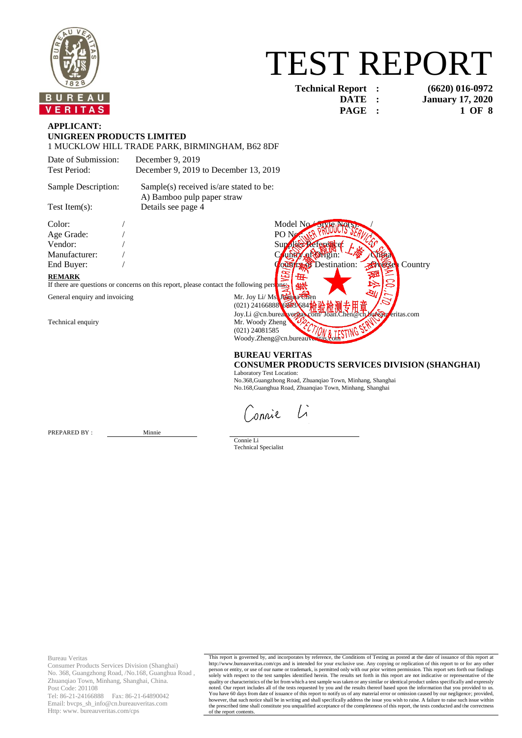

# TEST REPORT

**Technical Report : (6620) 016-0972**

**DATE : January 17, 2020 PAGE : 1 OF 8**

### **APPLICANT: UNIGREEN PRODUCTS LIMITED**

1 MUCKLOW HILL TRADE PARK, BIRMINGHAM, B62 8DF

| Date of Submission: | December 9, 2019                      |
|---------------------|---------------------------------------|
| Test Period:        | December 9, 2019 to December 13, 2019 |

Sample Description: Sample(s) received is/are stated to be: A) Bamboo pulp paper straw Test Item(s): Details see page 4

Color: / Model No./ Style No(s): / Age Grade: / PO No.: /

#### **REMARK**

If there are questions or concerns on this report, please contact the following persons:

General enquiry and invoicing Mr. Joy Li/ Ms. Joseph



#### **BUREAU VERITAS CONSUMER PRODUCTS SERVICES DIVISION (SHANGHAI)**

Laboratory Test Location: No.368,Guangzhong Road, Zhuanqiao Town, Minhang, Shanghai No.168,Guanghua Road, Zhuanqiao Town, Minhang, Shanghai

 $\int_{A}$ onnie

PREPARED BY : Minnie

Connie Li Technical Specialist

Bureau Veritas

Consumer Products Services Division (Shanghai) No. 368, Guangzhong Road, /No.168, Guanghua Road , Zhuanqiao Town, Minhang, Shanghai, China. Post Code: 201108

Tel: 86-21-24166888 Fax: 86-21-64890042 Email: bvcps\_sh\_info@cn.bureauveritas.com Http: www. bureauveritas.com/cps

This report is governed by, and incorporates by reference, the Conditions of Testing as posted at the date of issuance of this report at http://www.bureauveritas.com/cps and is intended for your exclusive use. Any copying or replication of this report to or for any other<br>person or entity, or use of our name or trademark, is permitted only with our prior wri solely with respect to the test samples identified herein. The results set forth in this report are not indicative or representative of the<br>quality or characteristics of the lot from which a test sample was taken or any si noted. Our report includes all of the tests requested by you and the results thereof based upon the information that you provided to us.<br>You have 60 days from date of issuance of this report to notify us of any material er however, that such notice shall be in writing and shall specifically address the issue you wish to raise. A failure to raise such issue within<br>the prescribed time shall constitute you unqualified acceptance of the complete of the report contents.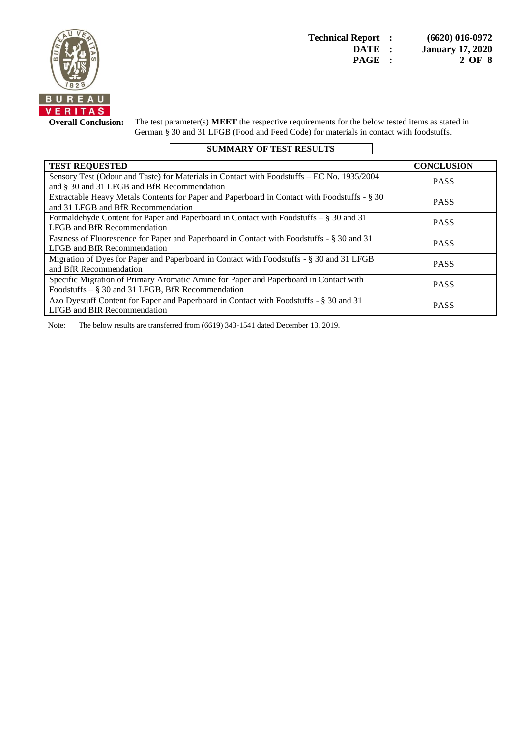

**Overall Conclusion:** The test parameter(s) **MEET** the respective requirements for the below tested items as stated in German § 30 and 31 LFGB (Food and Feed Code) for materials in contact with foodstuffs.

## **SUMMARY OF TEST RESULTS**

| <b>TEST REQUESTED</b>                                                                        | <b>CONCLUSION</b> |
|----------------------------------------------------------------------------------------------|-------------------|
| Sensory Test (Odour and Taste) for Materials in Contact with Foodstuffs – EC No. 1935/2004   | <b>PASS</b>       |
| and § 30 and 31 LFGB and BfR Recommendation                                                  |                   |
| Extractable Heavy Metals Contents for Paper and Paperboard in Contact with Foodstuffs - § 30 | <b>PASS</b>       |
| and 31 LFGB and BfR Recommendation                                                           |                   |
| Formaldehyde Content for Paper and Paperboard in Contact with Foodstuffs – § 30 and 31       | <b>PASS</b>       |
| LFGB and BfR Recommendation                                                                  |                   |
| Fastness of Fluorescence for Paper and Paperboard in Contact with Foodstuffs - § 30 and 31   | <b>PASS</b>       |
| LFGB and BfR Recommendation                                                                  |                   |
| Migration of Dyes for Paper and Paperboard in Contact with Foodstuffs - § 30 and 31 LFGB     |                   |
| and BfR Recommendation                                                                       | <b>PASS</b>       |
| Specific Migration of Primary Aromatic Amine for Paper and Paperboard in Contact with        |                   |
| Foodstuffs $-$ § 30 and 31 LFGB, BfR Recommendation                                          | <b>PASS</b>       |
| Azo Dyestuff Content for Paper and Paperboard in Contact with Foodstuffs - § 30 and 31       | <b>PASS</b>       |
| LFGB and BfR Recommendation                                                                  |                   |

Note: The below results are transferred from (6619) 343-1541 dated December 13, 2019.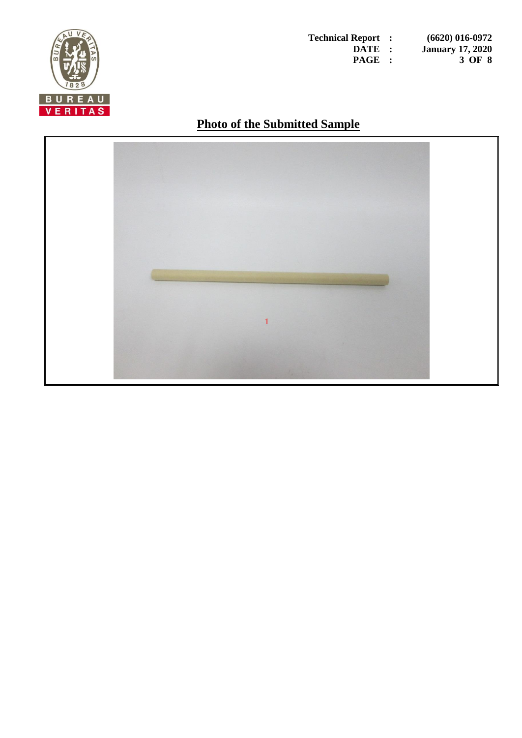

**Technical Report : (6620) 016-0972 DATE : January 17, 2020 PAGE : 3 OF 8**

# **Photo of the Submitted Sample**

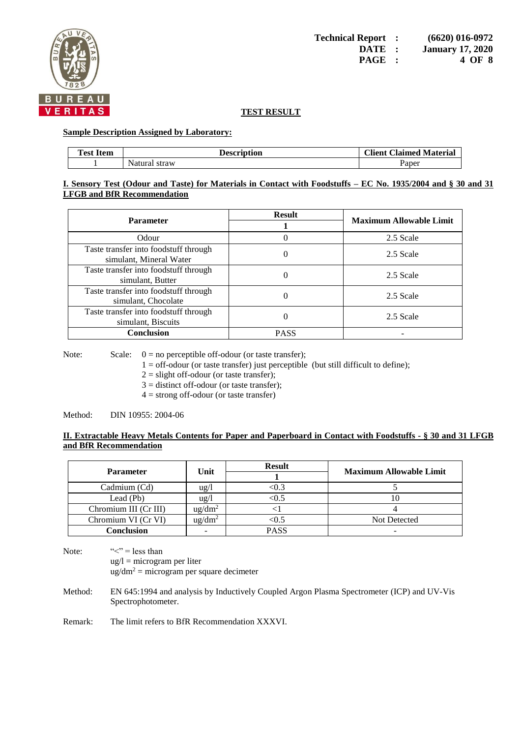

#### **Sample Description Assigned by Laboratory:**

| <b>Test Item</b> | <b>Description</b> | <b>Client Claimed Material</b> |
|------------------|--------------------|--------------------------------|
|                  | Natural straw      | Paper                          |

#### **I. Sensory Test (Odour and Taste) for Materials in Contact with Foodstuffs – EC No. 1935/2004 and § 30 and 31 LFGB and BfR Recommendation**

| <b>Parameter</b>                                                 | <b>Result</b> | <b>Maximum Allowable Limit</b> |
|------------------------------------------------------------------|---------------|--------------------------------|
| Odour                                                            |               | 2.5 Scale                      |
| Taste transfer into foodstuff through<br>simulant, Mineral Water | 0             | 2.5 Scale                      |
| Taste transfer into foodstuff through<br>simulant, Butter        | 0             | 2.5 Scale                      |
| Taste transfer into foodstuff through<br>simulant, Chocolate     |               | 2.5 Scale                      |
| Taste transfer into foodstuff through<br>simulant, Biscuits      |               | 2.5 Scale                      |
| <b>Conclusion</b>                                                | <b>PASS</b>   |                                |

Note: Scale:  $0 = no$  perceptible of f-odour (or taste transfer);

 $1 = \text{off-odour}$  (or taste transfer) just perceptible (but still difficult to define);

 $2 =$  slight off-odour (or taste transfer);

- $3 =$  distinct off-odour (or taste transfer);
- $4 =$  strong off-odour (or taste transfer)

Method: DIN 10955: 2004-06

#### **II. Extractable Heavy Metals Contents for Paper and Paperboard in Contact with Foodstuffs - § 30 and 31 LFGB and BfR Recommendation**

| <b>Parameter</b>      | Unit                     | <b>Result</b> | <b>Maximum Allowable Limit</b> |
|-----------------------|--------------------------|---------------|--------------------------------|
| Cadmium (Cd)          | ug/l                     | <0.3          |                                |
| Lead (Pb)             | $\frac{u g}{l}$          | <0.5          | 10                             |
| Chromium III (Cr III) | $u\text{g}/dm^2$         |               |                                |
| Chromium VI (Cr VI)   | $\text{ug/dm}^2$         | $< \! 0.5$    | Not Detected                   |
| <b>Conclusion</b>     | $\overline{\phantom{0}}$ | <b>PASS</b>   |                                |

Note:  $\langle \langle \cdot \rangle^2 = \text{less than}$  $ug/l = microgram$  per liter  $\text{ug/dm}^2$  = microgram per square decimeter

Method: EN 645:1994 and analysis by Inductively Coupled Argon Plasma Spectrometer (ICP) and UV-Vis Spectrophotometer.

Remark: The limit refers to BfR Recommendation XXXVI.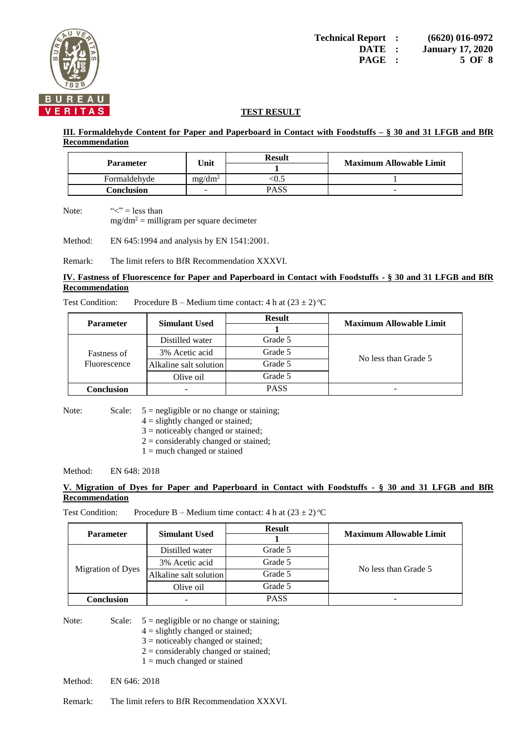

#### **III. Formaldehyde Content for Paper and Paperboard in Contact with Foodstuffs – § 30 and 31 LFGB and BfR Recommendation**

| <b>Parameter</b> | Unit      | <b>Result</b> | <b>Maximum Allowable Limit</b> |
|------------------|-----------|---------------|--------------------------------|
| Formaldehyde     | $mg/dm^2$ | W.L           |                                |
| Conclusion       | -         | PASS          | $\overline{\phantom{a}}$       |

Note:  $\langle \langle \cdot \rangle^2 = \text{less than}$  $mg/dm^2$  = milligram per square decimeter

Method: EN 645:1994 and analysis by EN 1541:2001.

Remark: The limit refers to BfR Recommendation XXXVI.

#### **IV. Fastness of Fluorescence for Paper and Paperboard in Contact with Foodstuffs - § 30 and 31 LFGB and BfR Recommendation**

Test Condition: Procedure B – Medium time contact: 4 h at  $(23 \pm 2)$  °C

| <b>Parameter</b>            | <b>Simulant Used</b>   | <b>Result</b> | <b>Maximum Allowable Limit</b> |  |
|-----------------------------|------------------------|---------------|--------------------------------|--|
|                             |                        |               |                                |  |
|                             | Distilled water        | Grade 5       |                                |  |
| Fastness of<br>Fluorescence | 3% Acetic acid         | Grade 5       | No less than Grade 5           |  |
|                             | Alkaline salt solution | Grade 5       |                                |  |
|                             | Olive oil              | Grade 5       |                                |  |
| Conclusion                  |                        | <b>PASS</b>   |                                |  |

Note: Scale:  $5 = \text{negligible or no change or staining};$ 

- $4 =$  slightly changed or stained;
- 3 = noticeably changed or stained;
- $2 =$  considerably changed or stained;
- $1 =$  much changed or stained

Method: EN 648: 2018

#### **V. Migration of Dyes for Paper and Paperboard in Contact with Foodstuffs - § 30 and 31 LFGB and BfR Recommendation**

Test Condition: Procedure B – Medium time contact: 4 h at  $(23 \pm 2)$  °C

|                          |                        | <b>Result</b> | <b>Maximum Allowable Limit</b> |  |
|--------------------------|------------------------|---------------|--------------------------------|--|
| <b>Parameter</b>         | <b>Simulant Used</b>   |               |                                |  |
|                          | Distilled water        | Grade 5       |                                |  |
| <b>Migration of Dyes</b> | 3% Acetic acid         | Grade 5       | No less than Grade 5           |  |
|                          | Alkaline salt solution | Grade 5       |                                |  |
|                          | Olive oil              | Grade 5       |                                |  |
| Conclusion               |                        | <b>PASS</b>   |                                |  |

Note: Scale:  $5 = \text{negligible or no change or staining};$ 

- $4 =$  slightly changed or stained;
- $3$  = noticeably changed or stained;
- $2 =$  considerably changed or stained;
- $1 =$  much changed or stained

Method: EN 646: 2018

Remark: The limit refers to BfR Recommendation XXXVI.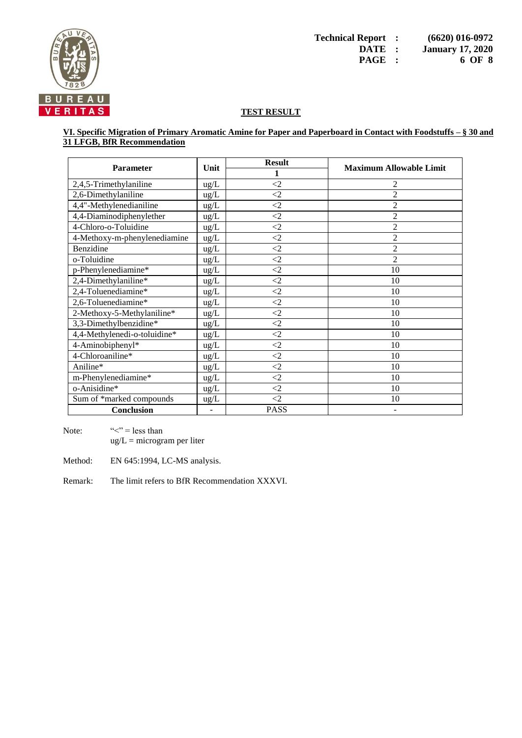

#### **VI. Specific Migration of Primary Aromatic Amine for Paper and Paperboard in Contact with Foodstuffs – § 30 and 31 LFGB, BfR Recommendation**

| <b>Parameter</b>             | Unit          | <b>Result</b> | <b>Maximum Allowable Limit</b> |  |
|------------------------------|---------------|---------------|--------------------------------|--|
|                              |               |               |                                |  |
| 2,4,5-Trimethylaniline       | $\text{ug/L}$ | $\leq$ 2      | 2                              |  |
| 2,6-Dimethylaniline          | $\text{ug/L}$ | $\leq$ 2      | $\overline{2}$                 |  |
| 4,4"-Methylenedianiline      | $\text{ug/L}$ | $\leq$        | $\overline{2}$                 |  |
| 4,4-Diaminodiphenylether     | $\text{ug/L}$ | $\leq$        | $\overline{2}$                 |  |
| 4-Chloro-o-Toluidine         | ug/L          | $\leq$        | 2                              |  |
| 4-Methoxy-m-phenylenediamine | ug/L          | $\leq$        | 2                              |  |
| Benzidine                    | ug/L          | $\leq$ 2      | 2                              |  |
| o-Toluidine                  | ug/L          | $\leq$ 2      | $\overline{2}$                 |  |
| p-Phenylenediamine*          | $\text{ug/L}$ | $\leq$ 2      | 10                             |  |
| 2,4-Dimethylaniline*         | $ug/L$        | $\leq$ 2      | 10                             |  |
| 2,4-Toluenediamine*          | $\text{ug/L}$ | $\leq$        | 10                             |  |
| 2,6-Toluenediamine*          | $ug/L$        | $\langle 2$   | 10                             |  |
| 2-Methoxy-5-Methylaniline*   | ug/L          | $\leq$ 2      | 10                             |  |
| 3,3-Dimethylbenzidine*       | ug/L          | $\leq$ 2      | 10                             |  |
| 4,4-Methylenedi-o-toluidine* | $\text{ug/L}$ | $\leq$ 2      | 10                             |  |
| 4-Aminobiphenyl*             | ug/L          | $\leq$        | 10                             |  |
| 4-Chloroaniline*             | $\text{ug/L}$ | $\leq$ 2      | 10                             |  |
| Aniline*                     | ug/L          | $\langle 2$   | 10                             |  |
| m-Phenylenediamine*          | $\text{ug/L}$ | $\leq$ 2      | 10                             |  |
| o-Anisidine*                 | ug/L          | $\leq$        | 10                             |  |
| Sum of *marked compounds     | ug/L          | $\leq$ 2      | 10                             |  |
| <b>Conclusion</b>            |               | <b>PASS</b>   |                                |  |

Note:  $\langle \langle \cdot \rangle^2 = \text{less than}$  $ug/L = microgram$  per liter

Method: EN 645:1994, LC-MS analysis.

Remark: The limit refers to BfR Recommendation XXXVI.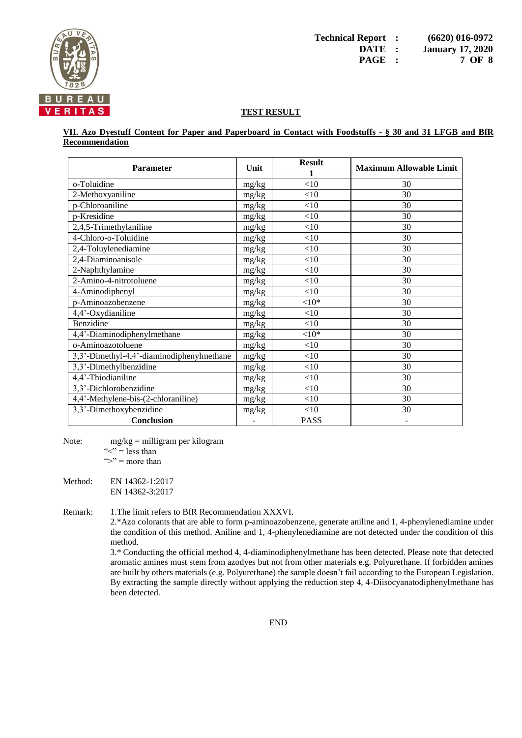

**VII. Azo Dyestuff Content for Paper and Paperboard in Contact with Foodstuffs - § 30 and 31 LFGB and BfR Recommendation**

| <b>Parameter</b>                          | Unit  | <b>Result</b> | <b>Maximum Allowable Limit</b> |
|-------------------------------------------|-------|---------------|--------------------------------|
|                                           |       | 1             |                                |
| o-Toluidine                               | mg/kg | <10           | 30                             |
| 2-Methoxyaniline                          | mg/kg | $<$ 10        | 30                             |
| p-Chloroaniline                           | mg/kg | <10           | 30                             |
| p-Kresidine                               | mg/kg | <10           | 30                             |
| 2,4,5-Trimethylaniline                    | mg/kg | <10           | 30                             |
| 4-Chloro-o-Toluidine                      | mg/kg | <10           | 30                             |
| 2,4-Toluylenediamine                      | mg/kg | <10           | 30                             |
| 2,4-Diaminoanisole                        | mg/kg | <10           | 30                             |
| 2-Naphthylamine                           | mg/kg | <10           | 30                             |
| 2-Amino-4-nitrotoluene                    | mg/kg | <10           | 30                             |
| 4-Aminodiphenyl                           | mg/kg | <10           | 30                             |
| p-Aminoazobenzene                         | mg/kg | ${<}10*$      | 30                             |
| 4,4'-Oxydianiline                         | mg/kg | <10           | 30                             |
| Benzidine                                 | mg/kg | <10           | 30                             |
| 4,4'-Diaminodiphenylmethane               | mg/kg | ${<}10*$      | 30                             |
| o-Aminoazotoluene                         | mg/kg | <10           | 30                             |
| 3,3'-Dimethyl-4,4'-diaminodiphenylmethane | mg/kg | <10           | 30                             |
| 3,3'-Dimethylbenzidine                    | mg/kg | <10           | 30                             |
| 4,4'-Thiodianiline                        | mg/kg | <10           | 30                             |
| 3,3'-Dichlorobenzidine                    | mg/kg | <10           | 30                             |
| 4,4'-Methylene-bis-(2-chloraniline)       | mg/kg | <10           | 30                             |
| 3,3'-Dimethoxybenzidine                   | mg/kg | <10           | 30                             |
| <b>Conclusion</b>                         |       | <b>PASS</b>   |                                |

Note: mg/kg = milligram per kilogram " $\leq$ " = less than ">" = more than

Method: EN 14362-1:2017 EN 14362-3:2017

Remark: 1.The limit refers to BfR Recommendation XXXVI.

2.\*Azo colorants that are able to form p-aminoazobenzene, generate aniline and 1, 4-phenylenediamine under the condition of this method. Aniline and 1, 4-phenylenediamine are not detected under the condition of this method.

3.\* Conducting the official method 4, 4-diaminodiphenylmethane has been detected. Please note that detected aromatic amines must stem from azodyes but not from other materials e.g. Polyurethane. If forbidden amines are built by others materials (e.g. Polyurethane) the sample doesn't fail according to the European Legislation. By extracting the sample directly without applying the reduction step 4, 4-Diisocyanatodiphenylmethane has been detected.